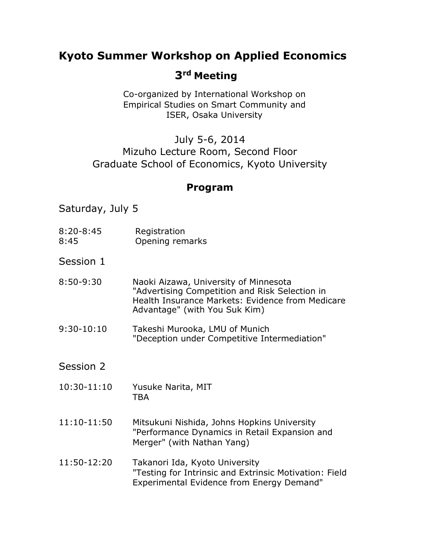# **Kyoto Summer Workshop on Applied Economics**

# **3rd Meeting**

Co-organized by International Workshop on Empirical Studies on Smart Community and ISER, Osaka University

## July 5-6, 2014 Mizuho Lecture Room, Second Floor Graduate School of Economics, Kyoto University

## **Program**

Saturday, July 5

- 8:20-8:45 Registration 8:45 Opening remarks
- Session 1
- 8:50-9:30 Naoki Aizawa, University of Minnesota "Advertising Competition and Risk Selection in Health Insurance Markets: Evidence from Medicare Advantage" (with You Suk Kim)
- 9:30-10:10 Takeshi Murooka, LMU of Munich "Deception under Competitive Intermediation"
- Session 2
- 10:30-11:10 Yusuke Narita, MIT **TBA**
- 11:10-11:50 Mitsukuni Nishida, Johns Hopkins University "Performance Dynamics in Retail Expansion and Merger" (with Nathan Yang)
- 11:50-12:20 Takanori Ida, Kyoto University "Testing for Intrinsic and Extrinsic Motivation: Field Experimental Evidence from Energy Demand"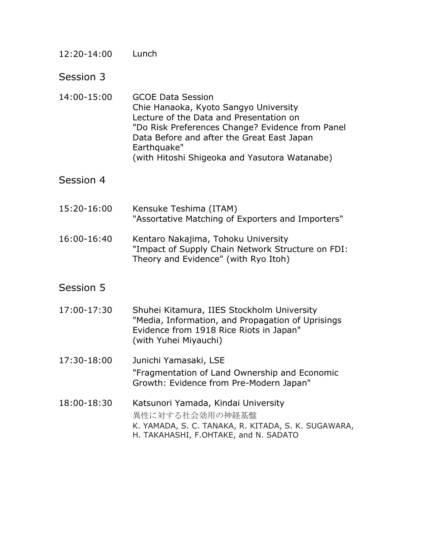#### 12:20-14:00 Lunch

Session 3

14:00-15:00 GCOE Data Session Chie Hanaoka, Kyoto Sangyo University Lecture of the Data and Presentation on "Do Risk Preferences Change? Evidence from Panel Data Before and after the Great East Japan Earthquake" (with Hitoshi Shigeoka and Yasutora Watanabe)

#### Session 4

- 15:20-16:00 Kensuke Teshima (ITAM) "Assortative Matching of Exporters and Importers"
- 16:00-16:40 Kentaro Nakajima, Tohoku University "Impact of Supply Chain Network Structure on FDI: Theory and Evidence" (with Ryo Itoh)

### Session 5

- 17:00-17:30 Shuhei Kitamura, IIES Stockholm University "Media, Information, and Propagation of Uprisings Evidence from 1918 Rice Riots in Japan" (with Yuhei Miyauchi)
- 17:30-18:00 Junichi Yamasaki, LSE "Fragmentation of Land Ownership and Economic Growth: Evidence from Pre-Modern Japan"
- 18:00-18:30 Katsunori Yamada, Kindai University 異性に対する社会効用の神経基盤 K. YAMADA, S. C. TANAKA, R. KITADA, S. K. SUGAWARA, H. TAKAHASHI, F.OHTAKE, and N. SADATO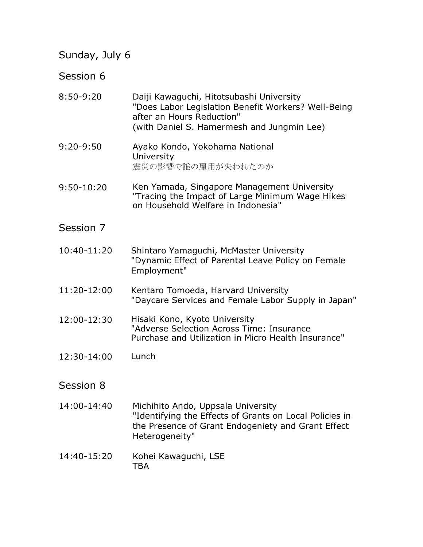# Sunday, July 6

# Session 6

| $8:50-9:20$   | Daiji Kawaguchi, Hitotsubashi University<br>"Does Labor Legislation Benefit Workers? Well-Being<br>after an Hours Reduction"<br>(with Daniel S. Hamermesh and Jungmin Lee) |
|---------------|----------------------------------------------------------------------------------------------------------------------------------------------------------------------------|
| $9:20 - 9:50$ | Ayako Kondo, Yokohama National<br>University<br>震災の影響で誰の雇用が失われたのか                                                                                                          |
| 9:50-10:20    | Ken Yamada, Singapore Management University<br>"Tracing the Impact of Large Minimum Wage Hikes<br>on Household Welfare in Indonesia"                                       |
| Session 7     |                                                                                                                                                                            |
| 10:40-11:20   | Shintaro Yamaguchi, McMaster University<br>"Dynamic Effect of Parental Leave Policy on Female<br>Employment"                                                               |
| 11:20-12:00   | Kentaro Tomoeda, Harvard University<br>"Daycare Services and Female Labor Supply in Japan"                                                                                 |
| 12:00-12:30   | Hisaki Kono, Kyoto University<br>"Adverse Selection Across Time: Insurance<br>Purchase and Utilization in Micro Health Insurance"                                          |
| 12:30-14:00   | Lunch                                                                                                                                                                      |
| Session 8     |                                                                                                                                                                            |
| 14:00-14:40   | Michihito Ando, Uppsala University<br>"Identifying the Effects of Grants on Local Policies in<br>the Presence of Grant Endogeniety and Grant Effect<br>Heterogeneity"      |
| 14:40-15:20   | Kohei Kawaguchi, LSE<br>TBA                                                                                                                                                |